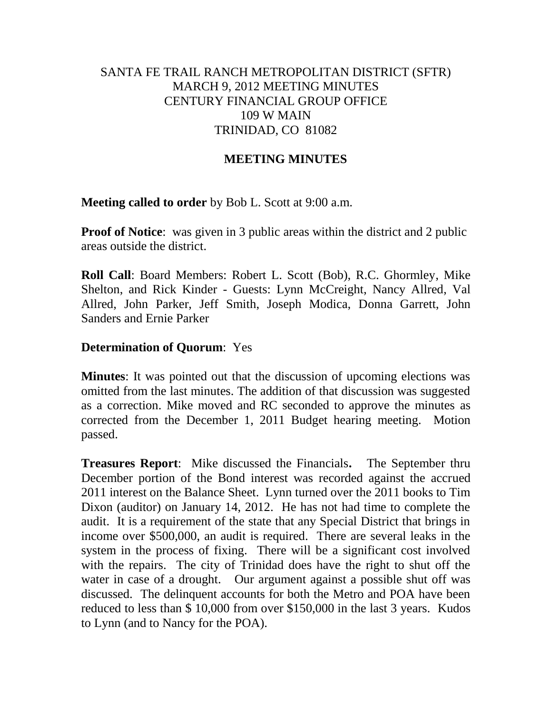## SANTA FE TRAIL RANCH METROPOLITAN DISTRICT (SFTR) MARCH 9, 2012 MEETING MINUTES CENTURY FINANCIAL GROUP OFFICE 109 W MAIN TRINIDAD, CO 81082

### **MEETING MINUTES**

**Meeting called to order** by Bob L. Scott at 9:00 a.m.

**Proof of Notice**: was given in 3 public areas within the district and 2 public areas outside the district.

**Roll Call**: Board Members: Robert L. Scott (Bob), R.C. Ghormley, Mike Shelton, and Rick Kinder - Guests: Lynn McCreight, Nancy Allred, Val Allred, John Parker, Jeff Smith, Joseph Modica, Donna Garrett, John Sanders and Ernie Parker

### **Determination of Quorum**: Yes

**Minutes**: It was pointed out that the discussion of upcoming elections was omitted from the last minutes. The addition of that discussion was suggested as a correction. Mike moved and RC seconded to approve the minutes as corrected from the December 1, 2011 Budget hearing meeting. Motion passed.

**Treasures Report**: Mike discussed the Financials**.** The September thru December portion of the Bond interest was recorded against the accrued 2011 interest on the Balance Sheet. Lynn turned over the 2011 books to Tim Dixon (auditor) on January 14, 2012. He has not had time to complete the audit. It is a requirement of the state that any Special District that brings in income over \$500,000, an audit is required. There are several leaks in the system in the process of fixing. There will be a significant cost involved with the repairs. The city of Trinidad does have the right to shut off the water in case of a drought. Our argument against a possible shut off was discussed. The delinquent accounts for both the Metro and POA have been reduced to less than \$ 10,000 from over \$150,000 in the last 3 years. Kudos to Lynn (and to Nancy for the POA).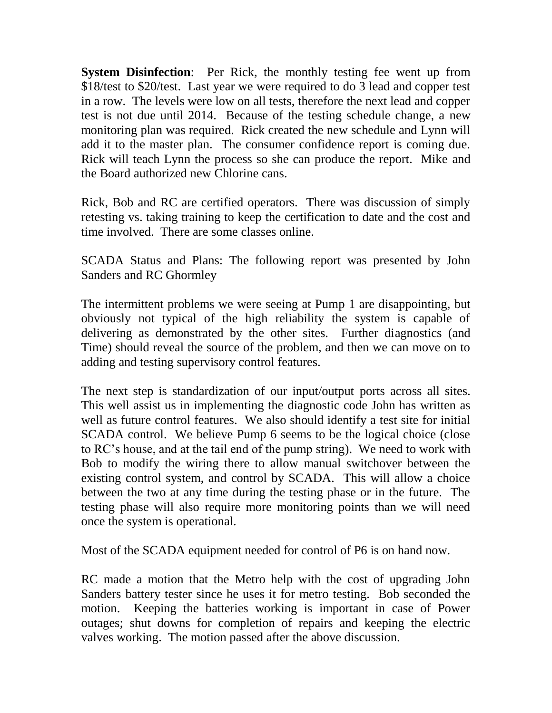**System Disinfection:** Per Rick, the monthly testing fee went up from \$18/test to \$20/test. Last year we were required to do 3 lead and copper test in a row. The levels were low on all tests, therefore the next lead and copper test is not due until 2014. Because of the testing schedule change, a new monitoring plan was required. Rick created the new schedule and Lynn will add it to the master plan. The consumer confidence report is coming due. Rick will teach Lynn the process so she can produce the report. Mike and the Board authorized new Chlorine cans.

Rick, Bob and RC are certified operators. There was discussion of simply retesting vs. taking training to keep the certification to date and the cost and time involved. There are some classes online.

SCADA Status and Plans: The following report was presented by John Sanders and RC Ghormley

The intermittent problems we were seeing at Pump 1 are disappointing, but obviously not typical of the high reliability the system is capable of delivering as demonstrated by the other sites. Further diagnostics (and Time) should reveal the source of the problem, and then we can move on to adding and testing supervisory control features.

The next step is standardization of our input/output ports across all sites. This well assist us in implementing the diagnostic code John has written as well as future control features. We also should identify a test site for initial SCADA control. We believe Pump 6 seems to be the logical choice (close to RC's house, and at the tail end of the pump string). We need to work with Bob to modify the wiring there to allow manual switchover between the existing control system, and control by SCADA. This will allow a choice between the two at any time during the testing phase or in the future. The testing phase will also require more monitoring points than we will need once the system is operational.

Most of the SCADA equipment needed for control of P6 is on hand now.

RC made a motion that the Metro help with the cost of upgrading John Sanders battery tester since he uses it for metro testing. Bob seconded the motion. Keeping the batteries working is important in case of Power outages; shut downs for completion of repairs and keeping the electric valves working. The motion passed after the above discussion.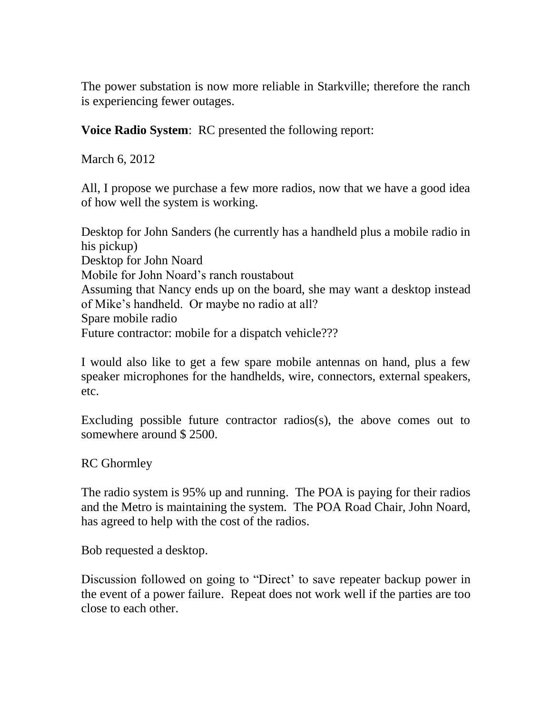The power substation is now more reliable in Starkville; therefore the ranch is experiencing fewer outages.

**Voice Radio System**: RC presented the following report:

March 6, 2012

All, I propose we purchase a few more radios, now that we have a good idea of how well the system is working.

Desktop for John Sanders (he currently has a handheld plus a mobile radio in his pickup) Desktop for John Noard Mobile for John Noard's ranch roustabout Assuming that Nancy ends up on the board, she may want a desktop instead of Mike's handheld. Or maybe no radio at all? Spare mobile radio Future contractor: mobile for a dispatch vehicle???

I would also like to get a few spare mobile antennas on hand, plus a few speaker microphones for the handhelds, wire, connectors, external speakers, etc.

Excluding possible future contractor radios(s), the above comes out to somewhere around \$ 2500.

RC Ghormley

The radio system is 95% up and running. The POA is paying for their radios and the Metro is maintaining the system. The POA Road Chair, John Noard, has agreed to help with the cost of the radios.

Bob requested a desktop.

Discussion followed on going to "Direct' to save repeater backup power in the event of a power failure. Repeat does not work well if the parties are too close to each other.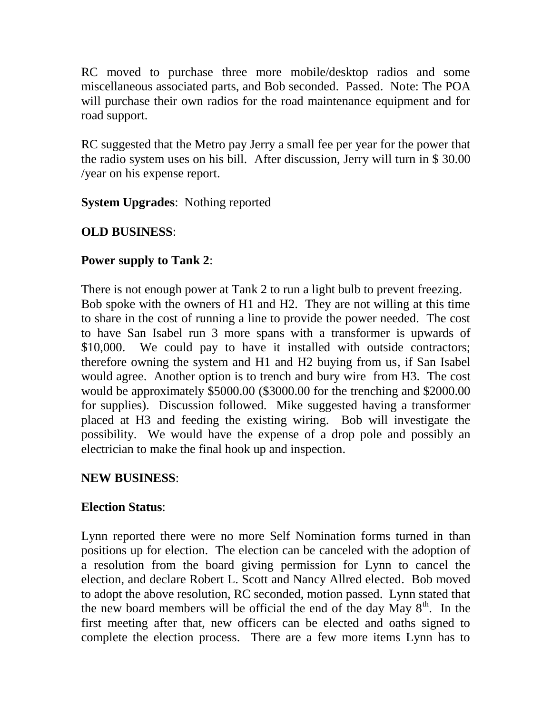RC moved to purchase three more mobile/desktop radios and some miscellaneous associated parts, and Bob seconded. Passed. Note: The POA will purchase their own radios for the road maintenance equipment and for road support.

RC suggested that the Metro pay Jerry a small fee per year for the power that the radio system uses on his bill. After discussion, Jerry will turn in \$ 30.00 /year on his expense report.

**System Upgrades**: Nothing reported

# **OLD BUSINESS**:

# **Power supply to Tank 2**:

There is not enough power at Tank 2 to run a light bulb to prevent freezing. Bob spoke with the owners of H1 and H2. They are not willing at this time to share in the cost of running a line to provide the power needed. The cost to have San Isabel run 3 more spans with a transformer is upwards of \$10,000. We could pay to have it installed with outside contractors; therefore owning the system and H1 and H2 buying from us, if San Isabel would agree. Another option is to trench and bury wire from H3. The cost would be approximately \$5000.00 (\$3000.00 for the trenching and \$2000.00 for supplies). Discussion followed. Mike suggested having a transformer placed at H3 and feeding the existing wiring. Bob will investigate the possibility. We would have the expense of a drop pole and possibly an electrician to make the final hook up and inspection.

# **NEW BUSINESS**:

# **Election Status**:

Lynn reported there were no more Self Nomination forms turned in than positions up for election. The election can be canceled with the adoption of a resolution from the board giving permission for Lynn to cancel the election, and declare Robert L. Scott and Nancy Allred elected. Bob moved to adopt the above resolution, RC seconded, motion passed. Lynn stated that the new board members will be official the end of the day May  $8<sup>th</sup>$ . In the first meeting after that, new officers can be elected and oaths signed to complete the election process. There are a few more items Lynn has to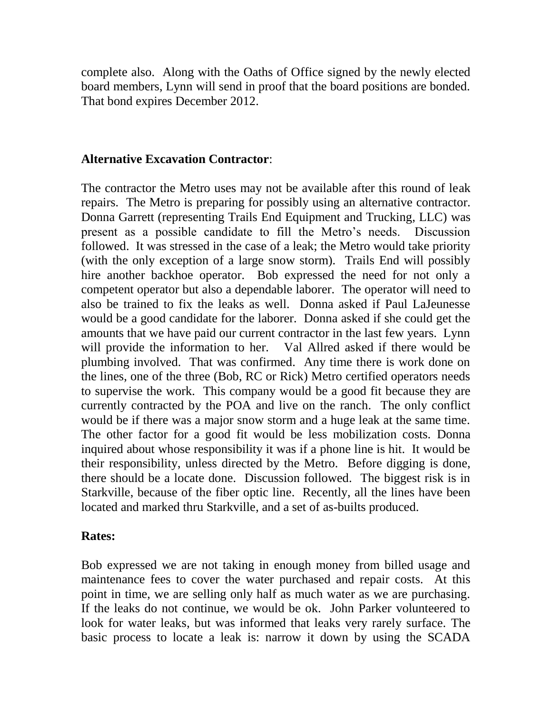complete also. Along with the Oaths of Office signed by the newly elected board members, Lynn will send in proof that the board positions are bonded. That bond expires December 2012.

### **Alternative Excavation Contractor**:

The contractor the Metro uses may not be available after this round of leak repairs. The Metro is preparing for possibly using an alternative contractor. Donna Garrett (representing Trails End Equipment and Trucking, LLC) was present as a possible candidate to fill the Metro's needs. Discussion followed. It was stressed in the case of a leak; the Metro would take priority (with the only exception of a large snow storm). Trails End will possibly hire another backhoe operator. Bob expressed the need for not only a competent operator but also a dependable laborer. The operator will need to also be trained to fix the leaks as well. Donna asked if Paul LaJeunesse would be a good candidate for the laborer. Donna asked if she could get the amounts that we have paid our current contractor in the last few years. Lynn will provide the information to her. Val Allred asked if there would be plumbing involved. That was confirmed. Any time there is work done on the lines, one of the three (Bob, RC or Rick) Metro certified operators needs to supervise the work. This company would be a good fit because they are currently contracted by the POA and live on the ranch. The only conflict would be if there was a major snow storm and a huge leak at the same time. The other factor for a good fit would be less mobilization costs. Donna inquired about whose responsibility it was if a phone line is hit. It would be their responsibility, unless directed by the Metro. Before digging is done, there should be a locate done. Discussion followed. The biggest risk is in Starkville, because of the fiber optic line. Recently, all the lines have been located and marked thru Starkville, and a set of as-builts produced.

### **Rates:**

Bob expressed we are not taking in enough money from billed usage and maintenance fees to cover the water purchased and repair costs. At this point in time, we are selling only half as much water as we are purchasing. If the leaks do not continue, we would be ok. John Parker volunteered to look for water leaks, but was informed that leaks very rarely surface. The basic process to locate a leak is: narrow it down by using the SCADA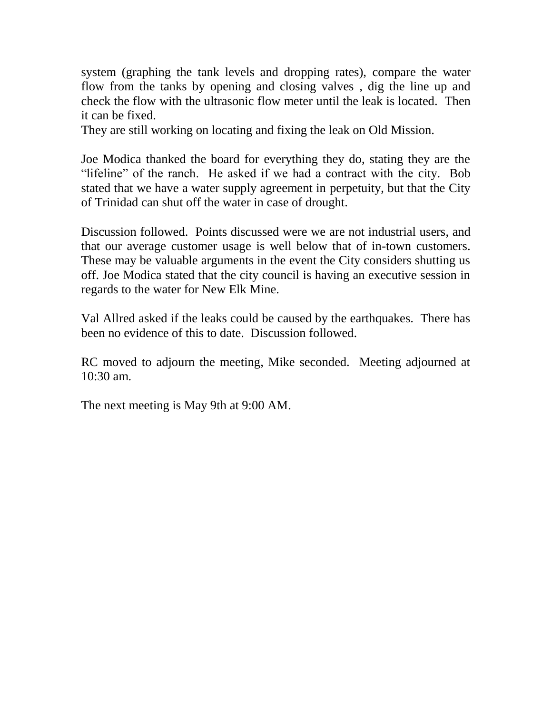system (graphing the tank levels and dropping rates), compare the water flow from the tanks by opening and closing valves , dig the line up and check the flow with the ultrasonic flow meter until the leak is located. Then it can be fixed.

They are still working on locating and fixing the leak on Old Mission.

Joe Modica thanked the board for everything they do, stating they are the "lifeline" of the ranch. He asked if we had a contract with the city. Bob stated that we have a water supply agreement in perpetuity, but that the City of Trinidad can shut off the water in case of drought.

Discussion followed. Points discussed were we are not industrial users, and that our average customer usage is well below that of in-town customers. These may be valuable arguments in the event the City considers shutting us off. Joe Modica stated that the city council is having an executive session in regards to the water for New Elk Mine.

Val Allred asked if the leaks could be caused by the earthquakes. There has been no evidence of this to date. Discussion followed.

RC moved to adjourn the meeting, Mike seconded. Meeting adjourned at 10:30 am.

The next meeting is May 9th at 9:00 AM.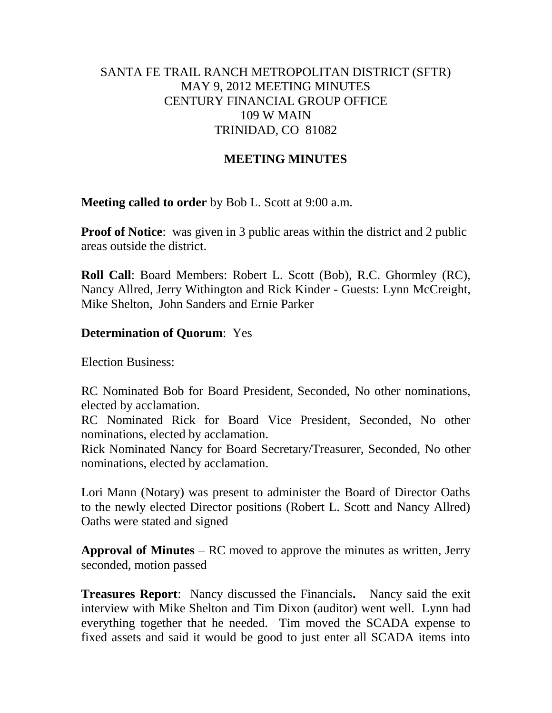## SANTA FE TRAIL RANCH METROPOLITAN DISTRICT (SFTR) MAY 9, 2012 MEETING MINUTES CENTURY FINANCIAL GROUP OFFICE 109 W MAIN TRINIDAD, CO 81082

### **MEETING MINUTES**

**Meeting called to order** by Bob L. Scott at 9:00 a.m.

**Proof of Notice**: was given in 3 public areas within the district and 2 public areas outside the district.

**Roll Call**: Board Members: Robert L. Scott (Bob), R.C. Ghormley (RC), Nancy Allred, Jerry Withington and Rick Kinder - Guests: Lynn McCreight, Mike Shelton, John Sanders and Ernie Parker

### **Determination of Quorum**: Yes

Election Business:

RC Nominated Bob for Board President, Seconded, No other nominations, elected by acclamation.

RC Nominated Rick for Board Vice President, Seconded, No other nominations, elected by acclamation.

Rick Nominated Nancy for Board Secretary/Treasurer, Seconded, No other nominations, elected by acclamation.

Lori Mann (Notary) was present to administer the Board of Director Oaths to the newly elected Director positions (Robert L. Scott and Nancy Allred) Oaths were stated and signed

**Approval of Minutes** – RC moved to approve the minutes as written, Jerry seconded, motion passed

**Treasures Report**: Nancy discussed the Financials**.** Nancy said the exit interview with Mike Shelton and Tim Dixon (auditor) went well. Lynn had everything together that he needed. Tim moved the SCADA expense to fixed assets and said it would be good to just enter all SCADA items into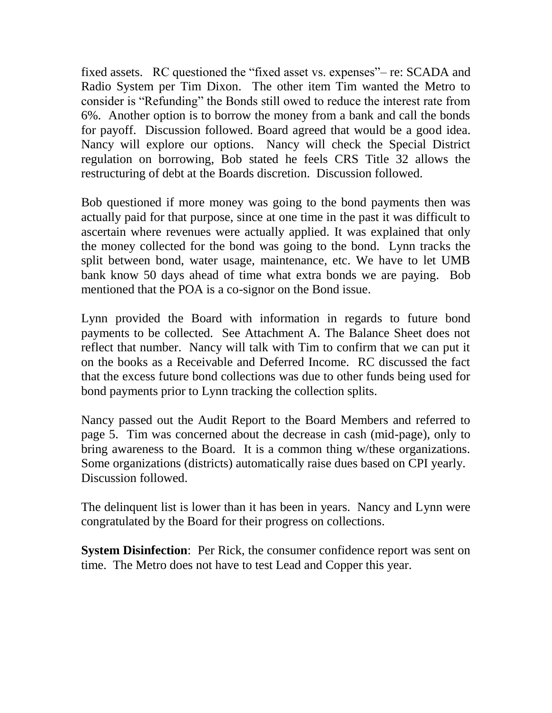fixed assets. RC questioned the "fixed asset vs. expenses"– re: SCADA and Radio System per Tim Dixon. The other item Tim wanted the Metro to consider is "Refunding" the Bonds still owed to reduce the interest rate from 6%. Another option is to borrow the money from a bank and call the bonds for payoff. Discussion followed. Board agreed that would be a good idea. Nancy will explore our options. Nancy will check the Special District regulation on borrowing, Bob stated he feels CRS Title 32 allows the restructuring of debt at the Boards discretion. Discussion followed.

Bob questioned if more money was going to the bond payments then was actually paid for that purpose, since at one time in the past it was difficult to ascertain where revenues were actually applied. It was explained that only the money collected for the bond was going to the bond. Lynn tracks the split between bond, water usage, maintenance, etc. We have to let UMB bank know 50 days ahead of time what extra bonds we are paying. Bob mentioned that the POA is a co-signor on the Bond issue.

Lynn provided the Board with information in regards to future bond payments to be collected. See Attachment A. The Balance Sheet does not reflect that number. Nancy will talk with Tim to confirm that we can put it on the books as a Receivable and Deferred Income. RC discussed the fact that the excess future bond collections was due to other funds being used for bond payments prior to Lynn tracking the collection splits.

Nancy passed out the Audit Report to the Board Members and referred to page 5. Tim was concerned about the decrease in cash (mid-page), only to bring awareness to the Board. It is a common thing w/these organizations. Some organizations (districts) automatically raise dues based on CPI yearly. Discussion followed.

The delinquent list is lower than it has been in years. Nancy and Lynn were congratulated by the Board for their progress on collections.

**System Disinfection:** Per Rick, the consumer confidence report was sent on time. The Metro does not have to test Lead and Copper this year.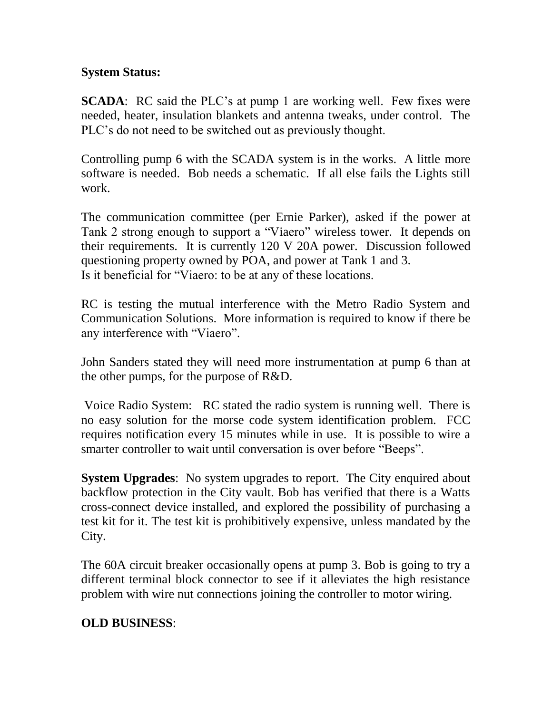# **System Status:**

**SCADA**: RC said the PLC's at pump 1 are working well. Few fixes were needed, heater, insulation blankets and antenna tweaks, under control. The PLC's do not need to be switched out as previously thought.

Controlling pump 6 with the SCADA system is in the works. A little more software is needed. Bob needs a schematic. If all else fails the Lights still work.

The communication committee (per Ernie Parker), asked if the power at Tank 2 strong enough to support a "Viaero" wireless tower. It depends on their requirements. It is currently 120 V 20A power. Discussion followed questioning property owned by POA, and power at Tank 1 and 3. Is it beneficial for "Viaero: to be at any of these locations.

RC is testing the mutual interference with the Metro Radio System and Communication Solutions. More information is required to know if there be any interference with "Viaero".

John Sanders stated they will need more instrumentation at pump 6 than at the other pumps, for the purpose of R&D.

Voice Radio System: RC stated the radio system is running well. There is no easy solution for the morse code system identification problem. FCC requires notification every 15 minutes while in use. It is possible to wire a smarter controller to wait until conversation is over before "Beeps".

**System Upgrades**: No system upgrades to report. The City enquired about backflow protection in the City vault. Bob has verified that there is a Watts cross-connect device installed, and explored the possibility of purchasing a test kit for it. The test kit is prohibitively expensive, unless mandated by the City.

The 60A circuit breaker occasionally opens at pump 3. Bob is going to try a different terminal block connector to see if it alleviates the high resistance problem with wire nut connections joining the controller to motor wiring.

# **OLD BUSINESS**: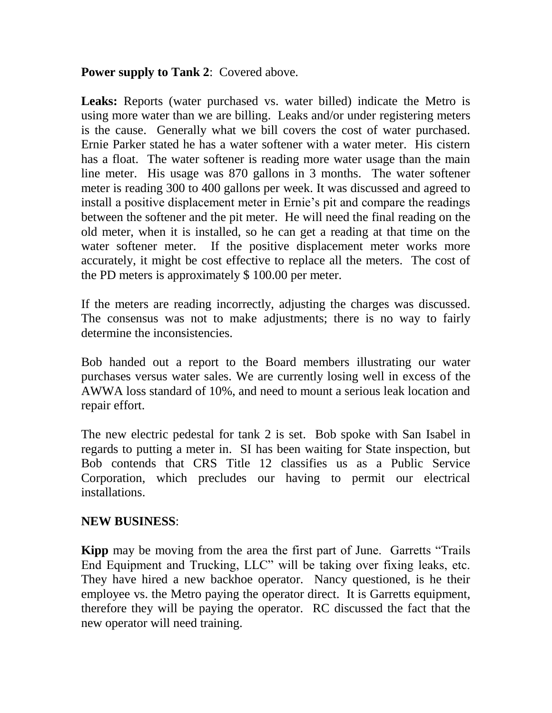### **Power supply to Tank 2**: Covered above.

Leaks: Reports (water purchased vs. water billed) indicate the Metro is using more water than we are billing. Leaks and/or under registering meters is the cause. Generally what we bill covers the cost of water purchased. Ernie Parker stated he has a water softener with a water meter. His cistern has a float. The water softener is reading more water usage than the main line meter. His usage was 870 gallons in 3 months. The water softener meter is reading 300 to 400 gallons per week. It was discussed and agreed to install a positive displacement meter in Ernie's pit and compare the readings between the softener and the pit meter. He will need the final reading on the old meter, when it is installed, so he can get a reading at that time on the water softener meter. If the positive displacement meter works more accurately, it might be cost effective to replace all the meters. The cost of the PD meters is approximately \$ 100.00 per meter.

If the meters are reading incorrectly, adjusting the charges was discussed. The consensus was not to make adjustments; there is no way to fairly determine the inconsistencies.

Bob handed out a report to the Board members illustrating our water purchases versus water sales. We are currently losing well in excess of the AWWA loss standard of 10%, and need to mount a serious leak location and repair effort.

The new electric pedestal for tank 2 is set. Bob spoke with San Isabel in regards to putting a meter in. SI has been waiting for State inspection, but Bob contends that CRS Title 12 classifies us as a Public Service Corporation, which precludes our having to permit our electrical installations.

# **NEW BUSINESS**:

**Kipp** may be moving from the area the first part of June. Garretts "Trails End Equipment and Trucking, LLC" will be taking over fixing leaks, etc. They have hired a new backhoe operator. Nancy questioned, is he their employee vs. the Metro paying the operator direct. It is Garretts equipment, therefore they will be paying the operator. RC discussed the fact that the new operator will need training.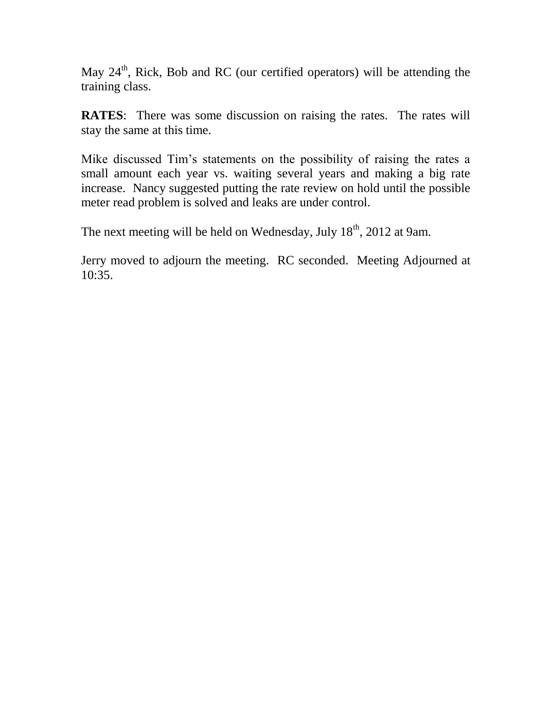May  $24<sup>th</sup>$ , Rick, Bob and RC (our certified operators) will be attending the training class.

**RATES**: There was some discussion on raising the rates. The rates will stay the same at this time.

Mike discussed Tim's statements on the possibility of raising the rates a small amount each year vs. waiting several years and making a big rate increase. Nancy suggested putting the rate review on hold until the possible meter read problem is solved and leaks are under control.

The next meeting will be held on Wednesday, July  $18<sup>th</sup>$ , 2012 at 9am.

Jerry moved to adjourn the meeting. RC seconded. Meeting Adjourned at 10:35.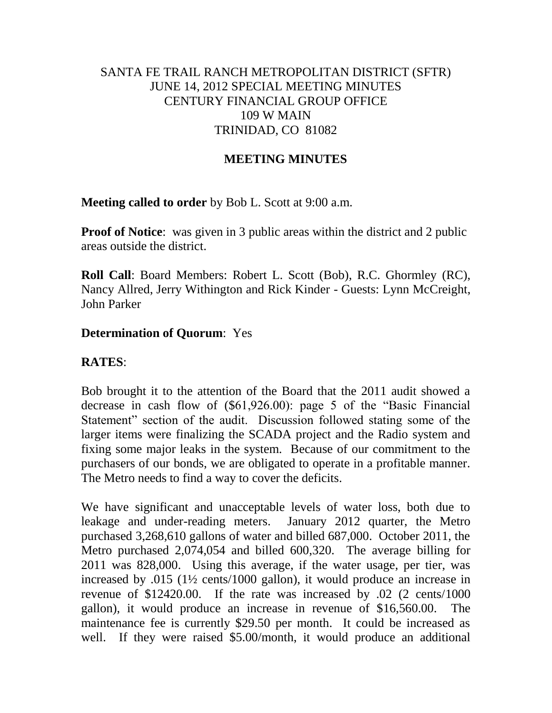## SANTA FE TRAIL RANCH METROPOLITAN DISTRICT (SFTR) JUNE 14, 2012 SPECIAL MEETING MINUTES CENTURY FINANCIAL GROUP OFFICE 109 W MAIN TRINIDAD, CO 81082

### **MEETING MINUTES**

**Meeting called to order** by Bob L. Scott at 9:00 a.m.

**Proof of Notice**: was given in 3 public areas within the district and 2 public areas outside the district.

**Roll Call**: Board Members: Robert L. Scott (Bob), R.C. Ghormley (RC), Nancy Allred, Jerry Withington and Rick Kinder - Guests: Lynn McCreight, John Parker

### **Determination of Quorum**: Yes

### **RATES**:

Bob brought it to the attention of the Board that the 2011 audit showed a decrease in cash flow of (\$61,926.00): page 5 of the "Basic Financial Statement" section of the audit. Discussion followed stating some of the larger items were finalizing the SCADA project and the Radio system and fixing some major leaks in the system. Because of our commitment to the purchasers of our bonds, we are obligated to operate in a profitable manner. The Metro needs to find a way to cover the deficits.

We have significant and unacceptable levels of water loss, both due to leakage and under-reading meters. January 2012 quarter, the Metro purchased 3,268,610 gallons of water and billed 687,000. October 2011, the Metro purchased 2,074,054 and billed 600,320. The average billing for 2011 was 828,000. Using this average, if the water usage, per tier, was increased by .015 (1½ cents/1000 gallon), it would produce an increase in revenue of \$12420.00. If the rate was increased by .02 (2 cents/1000 gallon), it would produce an increase in revenue of \$16,560.00. The maintenance fee is currently \$29.50 per month. It could be increased as well. If they were raised \$5.00/month, it would produce an additional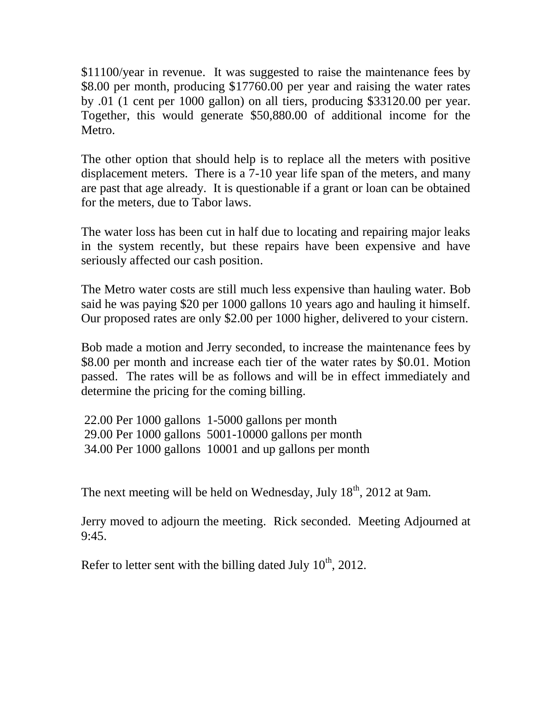\$11100/year in revenue. It was suggested to raise the maintenance fees by \$8.00 per month, producing \$17760.00 per year and raising the water rates by .01 (1 cent per 1000 gallon) on all tiers, producing \$33120.00 per year. Together, this would generate \$50,880.00 of additional income for the Metro.

The other option that should help is to replace all the meters with positive displacement meters. There is a 7-10 year life span of the meters, and many are past that age already. It is questionable if a grant or loan can be obtained for the meters, due to Tabor laws.

The water loss has been cut in half due to locating and repairing major leaks in the system recently, but these repairs have been expensive and have seriously affected our cash position.

The Metro water costs are still much less expensive than hauling water. Bob said he was paying \$20 per 1000 gallons 10 years ago and hauling it himself. Our proposed rates are only \$2.00 per 1000 higher, delivered to your cistern.

Bob made a motion and Jerry seconded, to increase the maintenance fees by \$8.00 per month and increase each tier of the water rates by \$0.01. Motion passed. The rates will be as follows and will be in effect immediately and determine the pricing for the coming billing.

22.00 Per 1000 gallons 1-5000 gallons per month 29.00 Per 1000 gallons 5001-10000 gallons per month 34.00 Per 1000 gallons 10001 and up gallons per month

The next meeting will be held on Wednesday, July  $18<sup>th</sup>$ , 2012 at 9am.

Jerry moved to adjourn the meeting. Rick seconded. Meeting Adjourned at 9:45.

Refer to letter sent with the billing dated July  $10^{th}$ , 2012.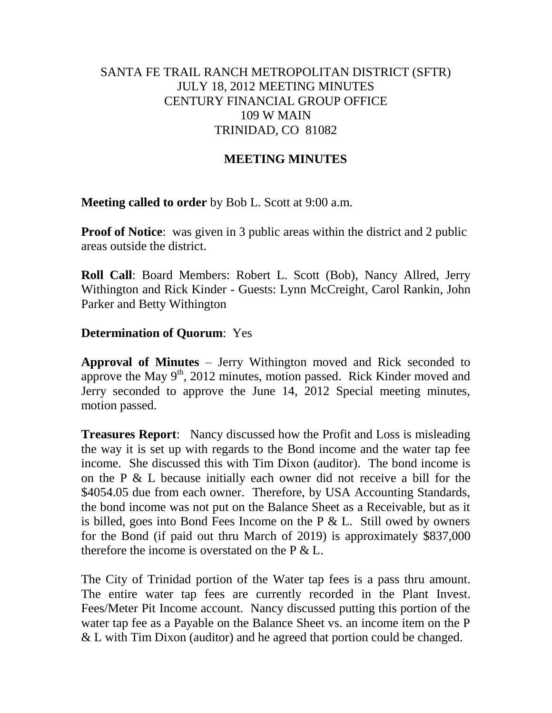## SANTA FE TRAIL RANCH METROPOLITAN DISTRICT (SFTR) JULY 18, 2012 MEETING MINUTES CENTURY FINANCIAL GROUP OFFICE 109 W MAIN TRINIDAD, CO 81082

### **MEETING MINUTES**

**Meeting called to order** by Bob L. Scott at 9:00 a.m.

**Proof of Notice**: was given in 3 public areas within the district and 2 public areas outside the district.

**Roll Call**: Board Members: Robert L. Scott (Bob), Nancy Allred, Jerry Withington and Rick Kinder - Guests: Lynn McCreight, Carol Rankin, John Parker and Betty Withington

### **Determination of Quorum**: Yes

**Approval of Minutes** – Jerry Withington moved and Rick seconded to approve the May  $9<sup>th</sup>$ , 2012 minutes, motion passed. Rick Kinder moved and Jerry seconded to approve the June 14, 2012 Special meeting minutes, motion passed.

**Treasures Report**: Nancy discussed how the Profit and Loss is misleading the way it is set up with regards to the Bond income and the water tap fee income. She discussed this with Tim Dixon (auditor). The bond income is on the P & L because initially each owner did not receive a bill for the \$4054.05 due from each owner. Therefore, by USA Accounting Standards, the bond income was not put on the Balance Sheet as a Receivable, but as it is billed, goes into Bond Fees Income on the P  $&$  L. Still owed by owners for the Bond (if paid out thru March of 2019) is approximately \$837,000 therefore the income is overstated on the P & L.

The City of Trinidad portion of the Water tap fees is a pass thru amount. The entire water tap fees are currently recorded in the Plant Invest. Fees/Meter Pit Income account. Nancy discussed putting this portion of the water tap fee as a Payable on the Balance Sheet vs. an income item on the P & L with Tim Dixon (auditor) and he agreed that portion could be changed.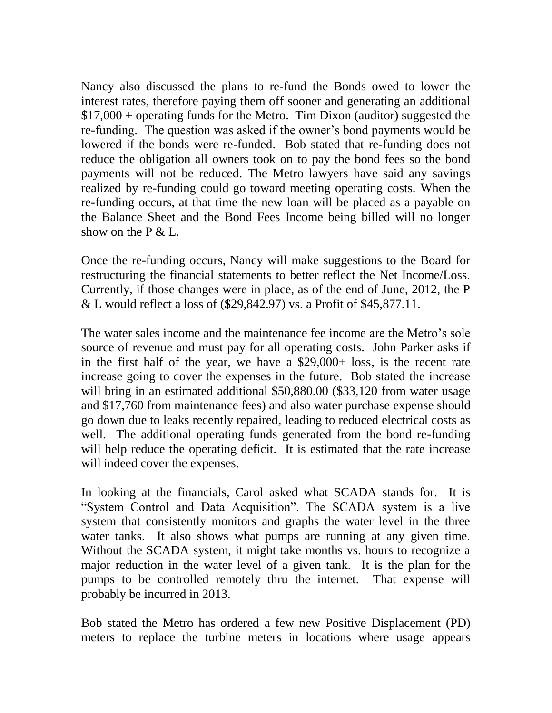Nancy also discussed the plans to re-fund the Bonds owed to lower the interest rates, therefore paying them off sooner and generating an additional \$17,000 + operating funds for the Metro. Tim Dixon (auditor) suggested the re-funding. The question was asked if the owner's bond payments would be lowered if the bonds were re-funded. Bob stated that re-funding does not reduce the obligation all owners took on to pay the bond fees so the bond payments will not be reduced. The Metro lawyers have said any savings realized by re-funding could go toward meeting operating costs. When the re-funding occurs, at that time the new loan will be placed as a payable on the Balance Sheet and the Bond Fees Income being billed will no longer show on the  $P \& L$ .

Once the re-funding occurs, Nancy will make suggestions to the Board for restructuring the financial statements to better reflect the Net Income/Loss. Currently, if those changes were in place, as of the end of June, 2012, the P & L would reflect a loss of (\$29,842.97) vs. a Profit of \$45,877.11.

The water sales income and the maintenance fee income are the Metro's sole source of revenue and must pay for all operating costs. John Parker asks if in the first half of the year, we have a \$29,000+ loss, is the recent rate increase going to cover the expenses in the future. Bob stated the increase will bring in an estimated additional \$50,880.00 (\$33,120 from water usage and \$17,760 from maintenance fees) and also water purchase expense should go down due to leaks recently repaired, leading to reduced electrical costs as well. The additional operating funds generated from the bond re-funding will help reduce the operating deficit. It is estimated that the rate increase will indeed cover the expenses.

In looking at the financials, Carol asked what SCADA stands for. It is "System Control and Data Acquisition". The SCADA system is a live system that consistently monitors and graphs the water level in the three water tanks. It also shows what pumps are running at any given time. Without the SCADA system, it might take months vs. hours to recognize a major reduction in the water level of a given tank. It is the plan for the pumps to be controlled remotely thru the internet. That expense will probably be incurred in 2013.

Bob stated the Metro has ordered a few new Positive Displacement (PD) meters to replace the turbine meters in locations where usage appears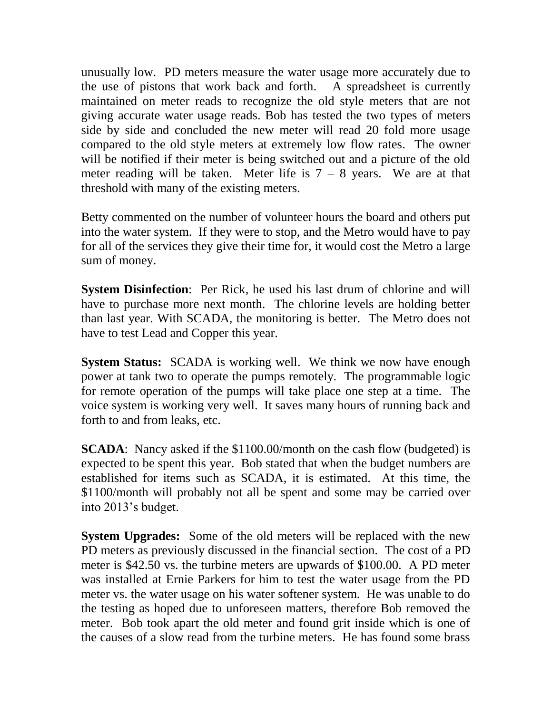unusually low. PD meters measure the water usage more accurately due to the use of pistons that work back and forth. A spreadsheet is currently maintained on meter reads to recognize the old style meters that are not giving accurate water usage reads. Bob has tested the two types of meters side by side and concluded the new meter will read 20 fold more usage compared to the old style meters at extremely low flow rates. The owner will be notified if their meter is being switched out and a picture of the old meter reading will be taken. Meter life is  $7 - 8$  years. We are at that threshold with many of the existing meters.

Betty commented on the number of volunteer hours the board and others put into the water system. If they were to stop, and the Metro would have to pay for all of the services they give their time for, it would cost the Metro a large sum of money.

**System Disinfection**: Per Rick, he used his last drum of chlorine and will have to purchase more next month. The chlorine levels are holding better than last year. With SCADA, the monitoring is better. The Metro does not have to test Lead and Copper this year.

**System Status:** SCADA is working well. We think we now have enough power at tank two to operate the pumps remotely. The programmable logic for remote operation of the pumps will take place one step at a time. The voice system is working very well. It saves many hours of running back and forth to and from leaks, etc.

**SCADA**: Nancy asked if the \$1100.00/month on the cash flow (budgeted) is expected to be spent this year. Bob stated that when the budget numbers are established for items such as SCADA, it is estimated. At this time, the \$1100/month will probably not all be spent and some may be carried over into 2013's budget.

**System Upgrades:** Some of the old meters will be replaced with the new PD meters as previously discussed in the financial section. The cost of a PD meter is \$42.50 vs. the turbine meters are upwards of \$100.00. A PD meter was installed at Ernie Parkers for him to test the water usage from the PD meter vs. the water usage on his water softener system. He was unable to do the testing as hoped due to unforeseen matters, therefore Bob removed the meter. Bob took apart the old meter and found grit inside which is one of the causes of a slow read from the turbine meters. He has found some brass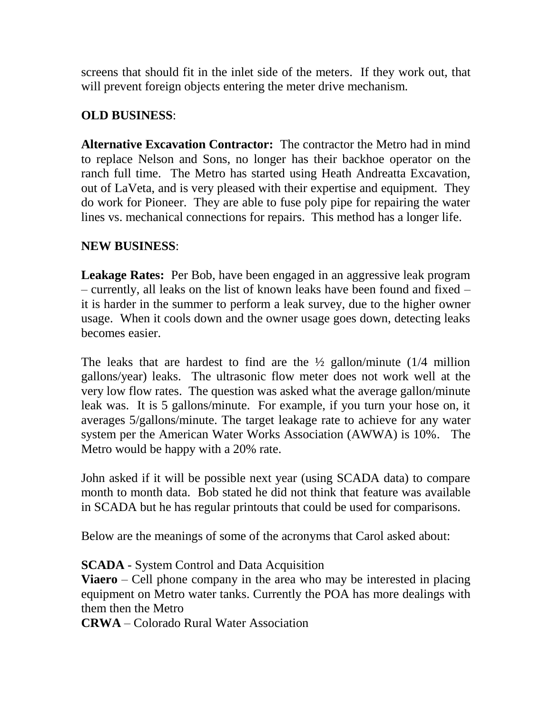screens that should fit in the inlet side of the meters. If they work out, that will prevent foreign objects entering the meter drive mechanism.

# **OLD BUSINESS**:

**Alternative Excavation Contractor:** The contractor the Metro had in mind to replace Nelson and Sons, no longer has their backhoe operator on the ranch full time. The Metro has started using Heath Andreatta Excavation, out of LaVeta, and is very pleased with their expertise and equipment. They do work for Pioneer. They are able to fuse poly pipe for repairing the water lines vs. mechanical connections for repairs. This method has a longer life.

# **NEW BUSINESS**:

**Leakage Rates:** Per Bob, have been engaged in an aggressive leak program – currently, all leaks on the list of known leaks have been found and fixed – it is harder in the summer to perform a leak survey, due to the higher owner usage. When it cools down and the owner usage goes down, detecting leaks becomes easier.

The leaks that are hardest to find are the  $\frac{1}{2}$  gallon/minute (1/4 million gallons/year) leaks. The ultrasonic flow meter does not work well at the very low flow rates. The question was asked what the average gallon/minute leak was. It is 5 gallons/minute. For example, if you turn your hose on, it averages 5/gallons/minute. The target leakage rate to achieve for any water system per the American Water Works Association (AWWA) is 10%. The Metro would be happy with a 20% rate.

John asked if it will be possible next year (using SCADA data) to compare month to month data. Bob stated he did not think that feature was available in SCADA but he has regular printouts that could be used for comparisons.

Below are the meanings of some of the acronyms that Carol asked about:

**SCADA** - System Control and Data Acquisition

**Viaero** – Cell phone company in the area who may be interested in placing equipment on Metro water tanks. Currently the POA has more dealings with them then the Metro

**CRWA** – Colorado Rural Water Association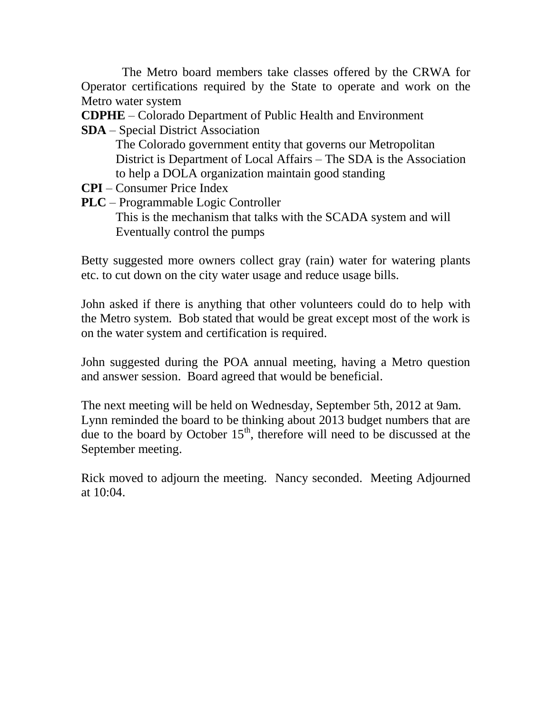The Metro board members take classes offered by the CRWA for Operator certifications required by the State to operate and work on the Metro water system

**CDPHE** – Colorado Department of Public Health and Environment

**SDA** – Special District Association

 The Colorado government entity that governs our Metropolitan District is Department of Local Affairs – The SDA is the Association to help a DOLA organization maintain good standing

- **CPI** Consumer Price Index
- **PLC** Programmable Logic Controller

 This is the mechanism that talks with the SCADA system and will Eventually control the pumps

Betty suggested more owners collect gray (rain) water for watering plants etc. to cut down on the city water usage and reduce usage bills.

John asked if there is anything that other volunteers could do to help with the Metro system. Bob stated that would be great except most of the work is on the water system and certification is required.

John suggested during the POA annual meeting, having a Metro question and answer session. Board agreed that would be beneficial.

The next meeting will be held on Wednesday, September 5th, 2012 at 9am. Lynn reminded the board to be thinking about 2013 budget numbers that are due to the board by October  $15<sup>th</sup>$ , therefore will need to be discussed at the September meeting.

Rick moved to adjourn the meeting. Nancy seconded. Meeting Adjourned at 10:04.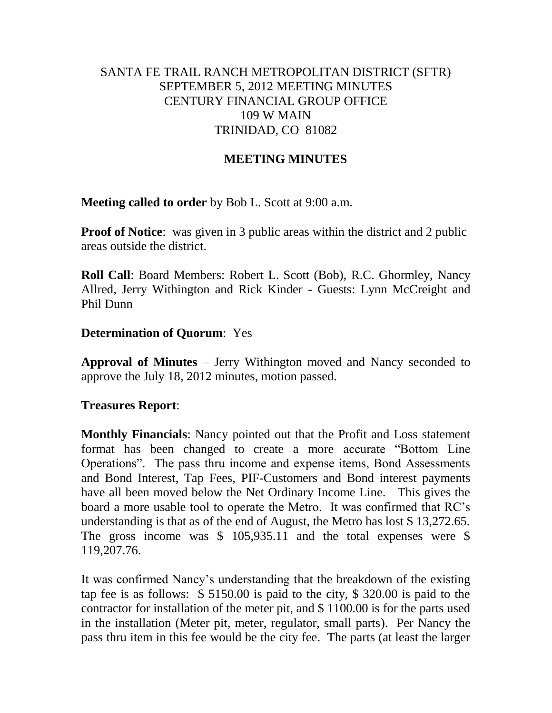## SANTA FE TRAIL RANCH METROPOLITAN DISTRICT (SFTR) SEPTEMBER 5, 2012 MEETING MINUTES CENTURY FINANCIAL GROUP OFFICE 109 W MAIN TRINIDAD, CO 81082

### **MEETING MINUTES**

**Meeting called to order** by Bob L. Scott at 9:00 a.m.

**Proof of Notice**: was given in 3 public areas within the district and 2 public areas outside the district.

**Roll Call**: Board Members: Robert L. Scott (Bob), R.C. Ghormley, Nancy Allred, Jerry Withington and Rick Kinder - Guests: Lynn McCreight and Phil Dunn

### **Determination of Quorum**: Yes

**Approval of Minutes** – Jerry Withington moved and Nancy seconded to approve the July 18, 2012 minutes, motion passed.

### **Treasures Report**:

**Monthly Financials**: Nancy pointed out that the Profit and Loss statement format has been changed to create a more accurate "Bottom Line Operations". The pass thru income and expense items, Bond Assessments and Bond Interest, Tap Fees, PIF-Customers and Bond interest payments have all been moved below the Net Ordinary Income Line. This gives the board a more usable tool to operate the Metro. It was confirmed that RC's understanding is that as of the end of August, the Metro has lost \$ 13,272.65. The gross income was \$ 105,935.11 and the total expenses were \$ 119,207.76.

It was confirmed Nancy's understanding that the breakdown of the existing tap fee is as follows: \$ 5150.00 is paid to the city, \$ 320.00 is paid to the contractor for installation of the meter pit, and \$ 1100.00 is for the parts used in the installation (Meter pit, meter, regulator, small parts). Per Nancy the pass thru item in this fee would be the city fee. The parts (at least the larger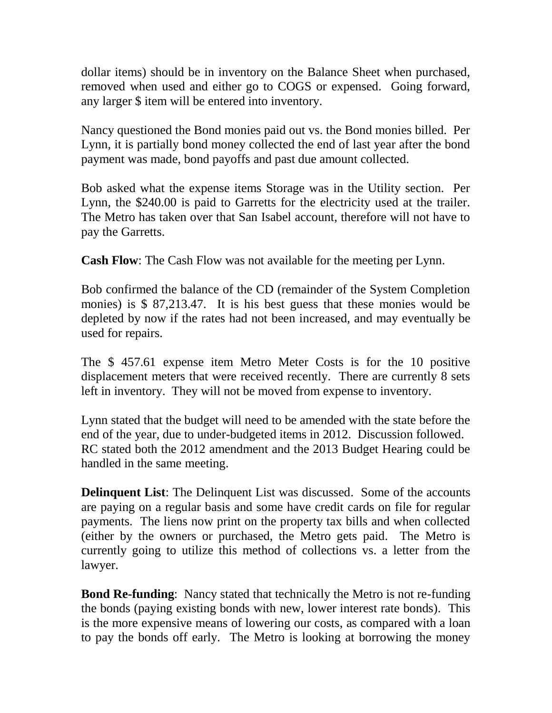dollar items) should be in inventory on the Balance Sheet when purchased, removed when used and either go to COGS or expensed. Going forward, any larger \$ item will be entered into inventory.

Nancy questioned the Bond monies paid out vs. the Bond monies billed. Per Lynn, it is partially bond money collected the end of last year after the bond payment was made, bond payoffs and past due amount collected.

Bob asked what the expense items Storage was in the Utility section. Per Lynn, the \$240.00 is paid to Garretts for the electricity used at the trailer. The Metro has taken over that San Isabel account, therefore will not have to pay the Garretts.

**Cash Flow**: The Cash Flow was not available for the meeting per Lynn.

Bob confirmed the balance of the CD (remainder of the System Completion monies) is \$ 87,213.47. It is his best guess that these monies would be depleted by now if the rates had not been increased, and may eventually be used for repairs.

The \$ 457.61 expense item Metro Meter Costs is for the 10 positive displacement meters that were received recently. There are currently 8 sets left in inventory. They will not be moved from expense to inventory.

Lynn stated that the budget will need to be amended with the state before the end of the year, due to under-budgeted items in 2012. Discussion followed. RC stated both the 2012 amendment and the 2013 Budget Hearing could be handled in the same meeting.

**Delinquent List**: The Delinquent List was discussed. Some of the accounts are paying on a regular basis and some have credit cards on file for regular payments. The liens now print on the property tax bills and when collected (either by the owners or purchased, the Metro gets paid. The Metro is currently going to utilize this method of collections vs. a letter from the lawyer.

**Bond Re-funding**: Nancy stated that technically the Metro is not re-funding the bonds (paying existing bonds with new, lower interest rate bonds). This is the more expensive means of lowering our costs, as compared with a loan to pay the bonds off early. The Metro is looking at borrowing the money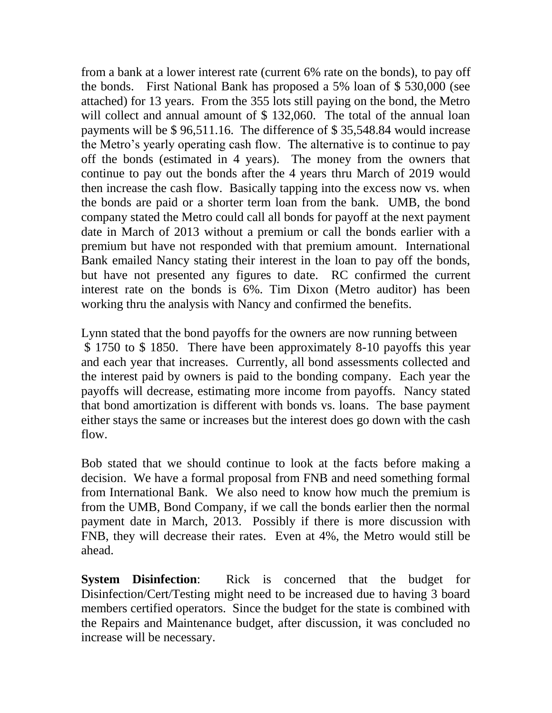from a bank at a lower interest rate (current 6% rate on the bonds), to pay off the bonds. First National Bank has proposed a 5% loan of \$ 530,000 (see attached) for 13 years. From the 355 lots still paying on the bond, the Metro will collect and annual amount of \$ 132,060. The total of the annual loan payments will be \$ 96,511.16. The difference of \$ 35,548.84 would increase the Metro's yearly operating cash flow. The alternative is to continue to pay off the bonds (estimated in 4 years). The money from the owners that continue to pay out the bonds after the 4 years thru March of 2019 would then increase the cash flow. Basically tapping into the excess now vs. when the bonds are paid or a shorter term loan from the bank. UMB, the bond company stated the Metro could call all bonds for payoff at the next payment date in March of 2013 without a premium or call the bonds earlier with a premium but have not responded with that premium amount. International Bank emailed Nancy stating their interest in the loan to pay off the bonds, but have not presented any figures to date. RC confirmed the current interest rate on the bonds is 6%. Tim Dixon (Metro auditor) has been working thru the analysis with Nancy and confirmed the benefits.

Lynn stated that the bond payoffs for the owners are now running between \$ 1750 to \$ 1850. There have been approximately 8-10 payoffs this year and each year that increases. Currently, all bond assessments collected and the interest paid by owners is paid to the bonding company. Each year the payoffs will decrease, estimating more income from payoffs. Nancy stated that bond amortization is different with bonds vs. loans. The base payment either stays the same or increases but the interest does go down with the cash flow.

Bob stated that we should continue to look at the facts before making a decision. We have a formal proposal from FNB and need something formal from International Bank. We also need to know how much the premium is from the UMB, Bond Company, if we call the bonds earlier then the normal payment date in March, 2013. Possibly if there is more discussion with FNB, they will decrease their rates. Even at 4%, the Metro would still be ahead.

**System Disinfection**: Rick is concerned that the budget for Disinfection/Cert/Testing might need to be increased due to having 3 board members certified operators. Since the budget for the state is combined with the Repairs and Maintenance budget, after discussion, it was concluded no increase will be necessary.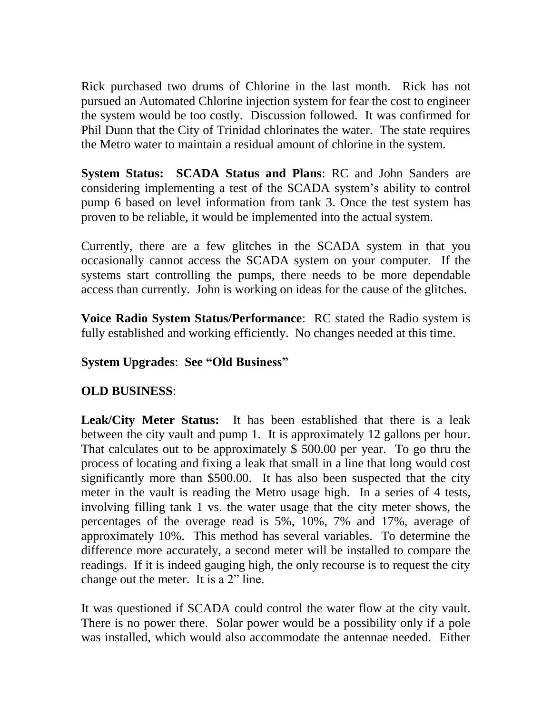Rick purchased two drums of Chlorine in the last month. Rick has not pursued an Automated Chlorine injection system for fear the cost to engineer the system would be too costly. Discussion followed. It was confirmed for Phil Dunn that the City of Trinidad chlorinates the water. The state requires the Metro water to maintain a residual amount of chlorine in the system.

**System Status: SCADA Status and Plans**: RC and John Sanders are considering implementing a test of the SCADA system's ability to control pump 6 based on level information from tank 3. Once the test system has proven to be reliable, it would be implemented into the actual system.

Currently, there are a few glitches in the SCADA system in that you occasionally cannot access the SCADA system on your computer. If the systems start controlling the pumps, there needs to be more dependable access than currently. John is working on ideas for the cause of the glitches.

**Voice Radio System Status/Performance**: RC stated the Radio system is fully established and working efficiently. No changes needed at this time.

### **System Upgrades**: **See "Old Business"**

# **OLD BUSINESS**:

**Leak/City Meter Status:** It has been established that there is a leak between the city vault and pump 1. It is approximately 12 gallons per hour. That calculates out to be approximately \$ 500.00 per year. To go thru the process of locating and fixing a leak that small in a line that long would cost significantly more than \$500.00. It has also been suspected that the city meter in the vault is reading the Metro usage high. In a series of 4 tests, involving filling tank 1 vs. the water usage that the city meter shows, the percentages of the overage read is 5%, 10%, 7% and 17%, average of approximately 10%. This method has several variables. To determine the difference more accurately, a second meter will be installed to compare the readings. If it is indeed gauging high, the only recourse is to request the city change out the meter. It is a 2" line.

It was questioned if SCADA could control the water flow at the city vault. There is no power there. Solar power would be a possibility only if a pole was installed, which would also accommodate the antennae needed. Either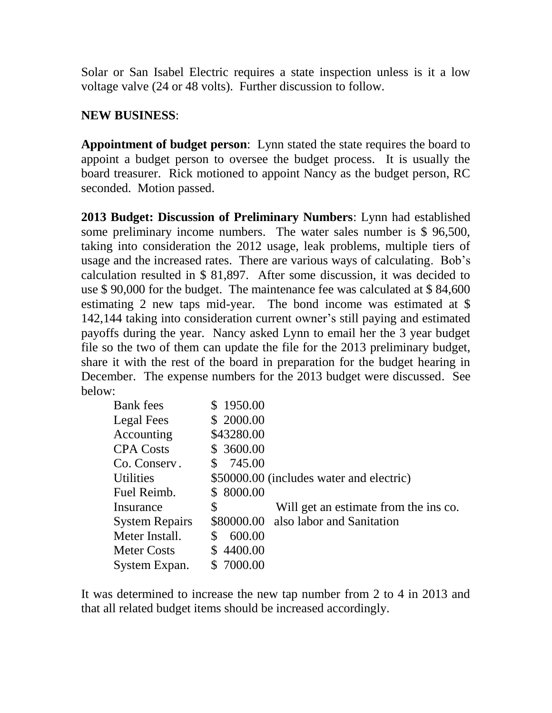Solar or San Isabel Electric requires a state inspection unless is it a low voltage valve (24 or 48 volts). Further discussion to follow.

# **NEW BUSINESS**:

**Appointment of budget person**: Lynn stated the state requires the board to appoint a budget person to oversee the budget process. It is usually the board treasurer. Rick motioned to appoint Nancy as the budget person, RC seconded. Motion passed.

**2013 Budget: Discussion of Preliminary Numbers**: Lynn had established some preliminary income numbers. The water sales number is \$ 96,500, taking into consideration the 2012 usage, leak problems, multiple tiers of usage and the increased rates. There are various ways of calculating. Bob's calculation resulted in \$ 81,897. After some discussion, it was decided to use \$ 90,000 for the budget. The maintenance fee was calculated at \$ 84,600 estimating 2 new taps mid-year. The bond income was estimated at \$ 142,144 taking into consideration current owner's still paying and estimated payoffs during the year. Nancy asked Lynn to email her the 3 year budget file so the two of them can update the file for the 2013 preliminary budget, share it with the rest of the board in preparation for the budget hearing in December. The expense numbers for the 2013 budget were discussed. See below:

| <b>Bank</b> fees      | \$1950.00     |                                          |
|-----------------------|---------------|------------------------------------------|
| Legal Fees            | \$2000.00     |                                          |
| Accounting            | \$43280.00    |                                          |
| <b>CPA Costs</b>      | \$3600.00     |                                          |
| Co. Conserv.          | 745.00<br>\$  |                                          |
| <b>Utilities</b>      |               | \$50000.00 (includes water and electric) |
| Fuel Reimb.           | 8000.00<br>S  |                                          |
| Insurance             | \$            | Will get an estimate from the ins co.    |
| <b>System Repairs</b> |               | \$80000.00 also labor and Sanitation     |
| Meter Install.        | \$<br>600.00  |                                          |
| <b>Meter Costs</b>    | 4400.00<br>S  |                                          |
| System Expan.         | 7000.00<br>\$ |                                          |

It was determined to increase the new tap number from 2 to 4 in 2013 and that all related budget items should be increased accordingly.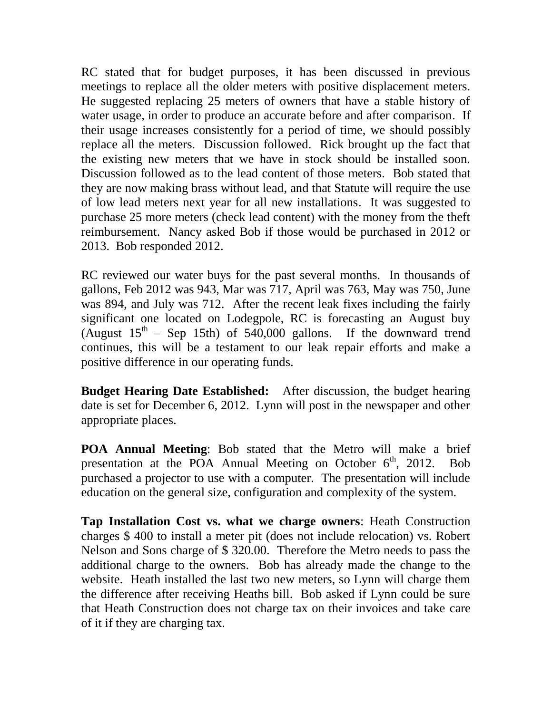RC stated that for budget purposes, it has been discussed in previous meetings to replace all the older meters with positive displacement meters. He suggested replacing 25 meters of owners that have a stable history of water usage, in order to produce an accurate before and after comparison. If their usage increases consistently for a period of time, we should possibly replace all the meters. Discussion followed. Rick brought up the fact that the existing new meters that we have in stock should be installed soon. Discussion followed as to the lead content of those meters. Bob stated that they are now making brass without lead, and that Statute will require the use of low lead meters next year for all new installations. It was suggested to purchase 25 more meters (check lead content) with the money from the theft reimbursement. Nancy asked Bob if those would be purchased in 2012 or 2013. Bob responded 2012.

RC reviewed our water buys for the past several months. In thousands of gallons, Feb 2012 was 943, Mar was 717, April was 763, May was 750, June was 894, and July was 712. After the recent leak fixes including the fairly significant one located on Lodegpole, RC is forecasting an August buy (August  $15<sup>th</sup>$  – Sep 15th) of 540,000 gallons. If the downward trend continues, this will be a testament to our leak repair efforts and make a positive difference in our operating funds.

**Budget Hearing Date Established:** After discussion, the budget hearing date is set for December 6, 2012. Lynn will post in the newspaper and other appropriate places.

**POA Annual Meeting**: Bob stated that the Metro will make a brief presentation at the POA Annual Meeting on October  $6<sup>th</sup>$ , 2012. Bob purchased a projector to use with a computer. The presentation will include education on the general size, configuration and complexity of the system.

**Tap Installation Cost vs. what we charge owners**: Heath Construction charges \$ 400 to install a meter pit (does not include relocation) vs. Robert Nelson and Sons charge of \$ 320.00. Therefore the Metro needs to pass the additional charge to the owners. Bob has already made the change to the website. Heath installed the last two new meters, so Lynn will charge them the difference after receiving Heaths bill. Bob asked if Lynn could be sure that Heath Construction does not charge tax on their invoices and take care of it if they are charging tax.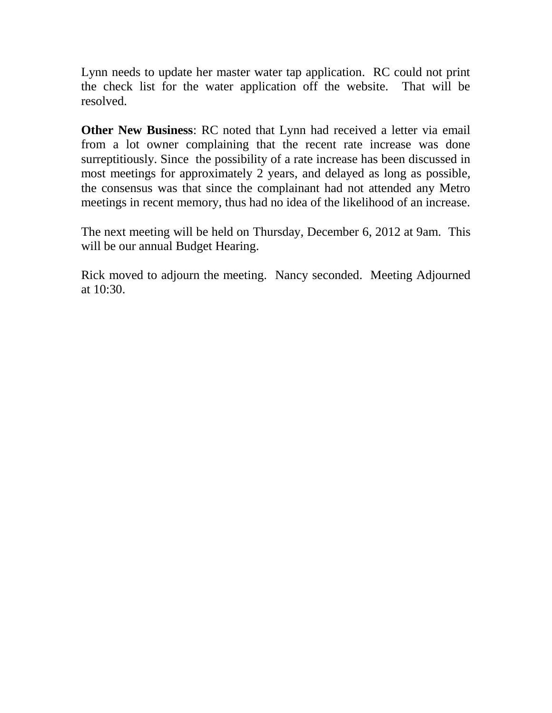Lynn needs to update her master water tap application. RC could not print the check list for the water application off the website. That will be resolved.

**Other New Business**: RC noted that Lynn had received a letter via email from a lot owner complaining that the recent rate increase was done surreptitiously. Since the possibility of a rate increase has been discussed in most meetings for approximately 2 years, and delayed as long as possible, the consensus was that since the complainant had not attended any Metro meetings in recent memory, thus had no idea of the likelihood of an increase.

The next meeting will be held on Thursday, December 6, 2012 at 9am. This will be our annual Budget Hearing.

Rick moved to adjourn the meeting. Nancy seconded. Meeting Adjourned at 10:30.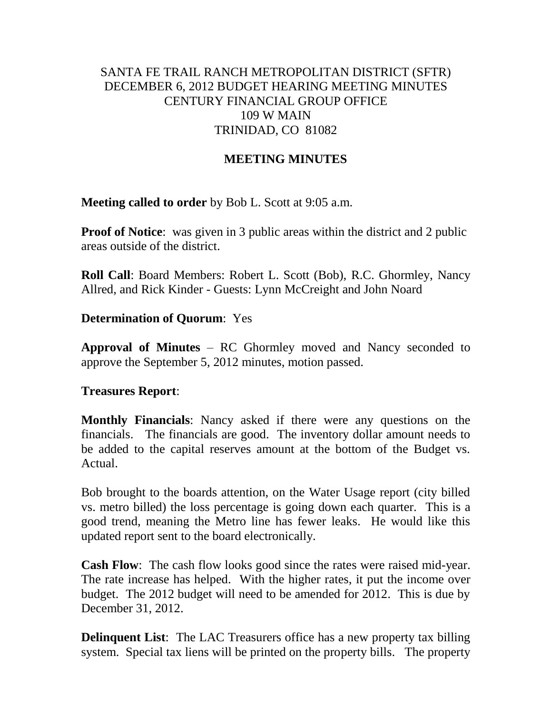## SANTA FE TRAIL RANCH METROPOLITAN DISTRICT (SFTR) DECEMBER 6, 2012 BUDGET HEARING MEETING MINUTES CENTURY FINANCIAL GROUP OFFICE 109 W MAIN TRINIDAD, CO 81082

## **MEETING MINUTES**

**Meeting called to order** by Bob L. Scott at 9:05 a.m.

**Proof of Notice**: was given in 3 public areas within the district and 2 public areas outside of the district.

**Roll Call**: Board Members: Robert L. Scott (Bob), R.C. Ghormley, Nancy Allred, and Rick Kinder - Guests: Lynn McCreight and John Noard

### **Determination of Quorum**: Yes

**Approval of Minutes** – RC Ghormley moved and Nancy seconded to approve the September 5, 2012 minutes, motion passed.

### **Treasures Report**:

**Monthly Financials**: Nancy asked if there were any questions on the financials. The financials are good. The inventory dollar amount needs to be added to the capital reserves amount at the bottom of the Budget vs. Actual.

Bob brought to the boards attention, on the Water Usage report (city billed vs. metro billed) the loss percentage is going down each quarter. This is a good trend, meaning the Metro line has fewer leaks. He would like this updated report sent to the board electronically.

**Cash Flow**: The cash flow looks good since the rates were raised mid-year. The rate increase has helped. With the higher rates, it put the income over budget. The 2012 budget will need to be amended for 2012. This is due by December 31, 2012.

**Delinquent List**: The LAC Treasurers office has a new property tax billing system. Special tax liens will be printed on the property bills. The property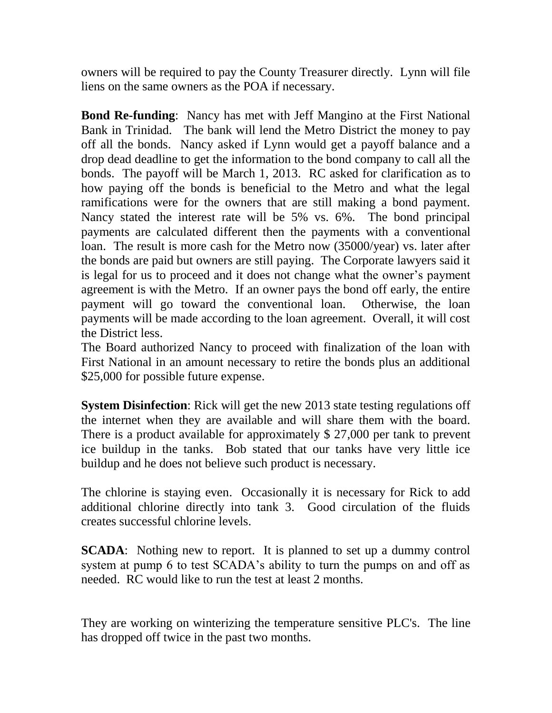owners will be required to pay the County Treasurer directly. Lynn will file liens on the same owners as the POA if necessary.

**Bond Re-funding**: Nancy has met with Jeff Mangino at the First National Bank in Trinidad. The bank will lend the Metro District the money to pay off all the bonds. Nancy asked if Lynn would get a payoff balance and a drop dead deadline to get the information to the bond company to call all the bonds. The payoff will be March 1, 2013. RC asked for clarification as to how paying off the bonds is beneficial to the Metro and what the legal ramifications were for the owners that are still making a bond payment. Nancy stated the interest rate will be 5% vs. 6%. The bond principal payments are calculated different then the payments with a conventional loan. The result is more cash for the Metro now (35000/year) vs. later after the bonds are paid but owners are still paying. The Corporate lawyers said it is legal for us to proceed and it does not change what the owner's payment agreement is with the Metro. If an owner pays the bond off early, the entire payment will go toward the conventional loan. Otherwise, the loan payments will be made according to the loan agreement. Overall, it will cost the District less.

The Board authorized Nancy to proceed with finalization of the loan with First National in an amount necessary to retire the bonds plus an additional \$25,000 for possible future expense.

**System Disinfection:** Rick will get the new 2013 state testing regulations off the internet when they are available and will share them with the board. There is a product available for approximately \$ 27,000 per tank to prevent ice buildup in the tanks. Bob stated that our tanks have very little ice buildup and he does not believe such product is necessary.

The chlorine is staying even. Occasionally it is necessary for Rick to add additional chlorine directly into tank 3. Good circulation of the fluids creates successful chlorine levels.

**SCADA**: Nothing new to report. It is planned to set up a dummy control system at pump 6 to test SCADA's ability to turn the pumps on and off as needed. RC would like to run the test at least 2 months.

They are working on winterizing the temperature sensitive PLC's. The line has dropped off twice in the past two months.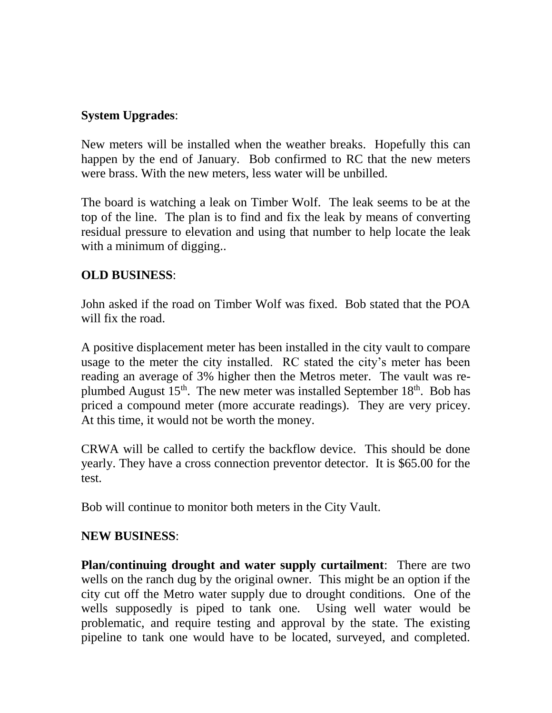# **System Upgrades**:

New meters will be installed when the weather breaks. Hopefully this can happen by the end of January. Bob confirmed to RC that the new meters were brass. With the new meters, less water will be unbilled.

The board is watching a leak on Timber Wolf. The leak seems to be at the top of the line. The plan is to find and fix the leak by means of converting residual pressure to elevation and using that number to help locate the leak with a minimum of digging...

## **OLD BUSINESS**:

John asked if the road on Timber Wolf was fixed. Bob stated that the POA will fix the road.

A positive displacement meter has been installed in the city vault to compare usage to the meter the city installed. RC stated the city's meter has been reading an average of 3% higher then the Metros meter. The vault was replumbed August  $15<sup>th</sup>$ . The new meter was installed September  $18<sup>th</sup>$ . Bob has priced a compound meter (more accurate readings). They are very pricey. At this time, it would not be worth the money.

CRWA will be called to certify the backflow device. This should be done yearly. They have a cross connection preventor detector. It is \$65.00 for the test.

Bob will continue to monitor both meters in the City Vault.

# **NEW BUSINESS**:

**Plan/continuing drought and water supply curtailment**: There are two wells on the ranch dug by the original owner. This might be an option if the city cut off the Metro water supply due to drought conditions. One of the wells supposedly is piped to tank one. Using well water would be problematic, and require testing and approval by the state. The existing pipeline to tank one would have to be located, surveyed, and completed.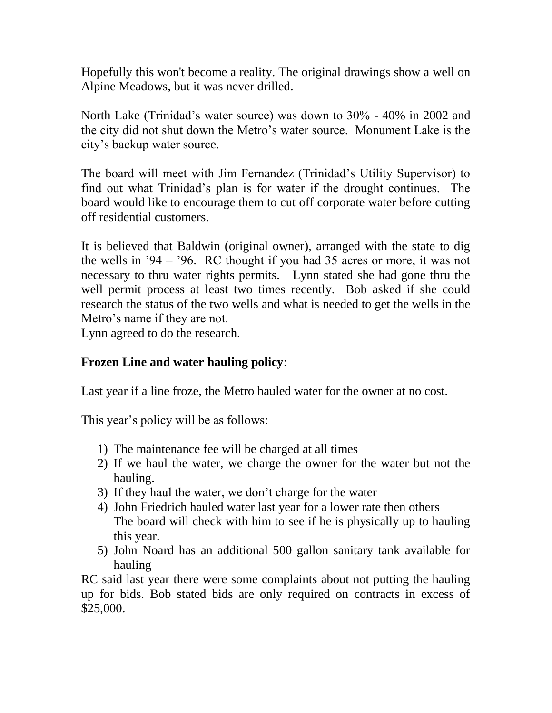Hopefully this won't become a reality. The original drawings show a well on Alpine Meadows, but it was never drilled.

North Lake (Trinidad's water source) was down to 30% - 40% in 2002 and the city did not shut down the Metro's water source. Monument Lake is the city's backup water source.

The board will meet with Jim Fernandez (Trinidad's Utility Supervisor) to find out what Trinidad's plan is for water if the drought continues. The board would like to encourage them to cut off corporate water before cutting off residential customers.

It is believed that Baldwin (original owner), arranged with the state to dig the wells in '94 – '96. RC thought if you had 35 acres or more, it was not necessary to thru water rights permits. Lynn stated she had gone thru the well permit process at least two times recently. Bob asked if she could research the status of the two wells and what is needed to get the wells in the Metro's name if they are not.

Lynn agreed to do the research.

### **Frozen Line and water hauling policy**:

Last year if a line froze, the Metro hauled water for the owner at no cost.

This year's policy will be as follows:

- 1) The maintenance fee will be charged at all times
- 2) If we haul the water, we charge the owner for the water but not the hauling.
- 3) If they haul the water, we don't charge for the water
- 4) John Friedrich hauled water last year for a lower rate then others The board will check with him to see if he is physically up to hauling this year.
- 5) John Noard has an additional 500 gallon sanitary tank available for hauling

RC said last year there were some complaints about not putting the hauling up for bids. Bob stated bids are only required on contracts in excess of \$25,000.